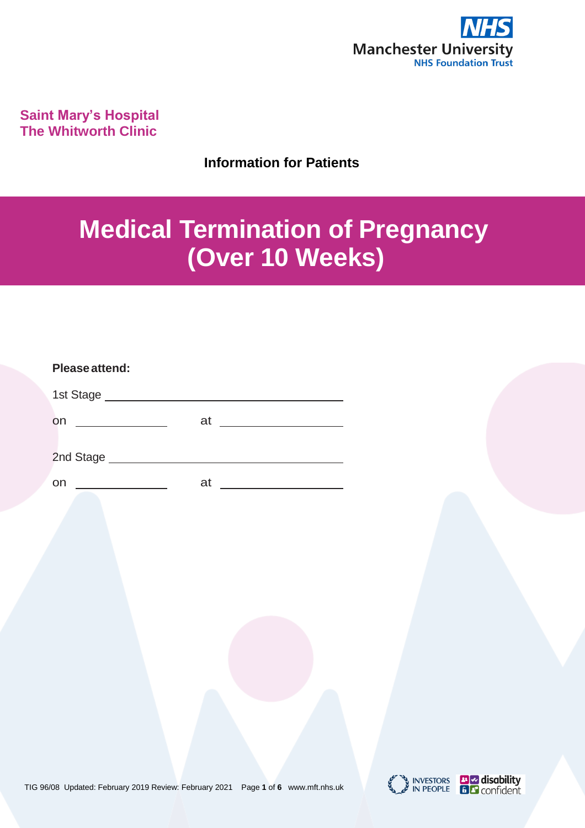

**Saint Mary's Hospital The Whitworth Clinic**

**Information for Patients**

# **Medical Termination of Pregnancy (Over 10 Weeks)**

| Please attend:                               |                                                                 |
|----------------------------------------------|-----------------------------------------------------------------|
| 1st Stage ____________                       |                                                                 |
| on                                           | at<br><u> 1989 - Andrea Station Books, amerikansk politik (</u> |
| 2nd Stage<br><u> 1999 - Jan Sterlingen (</u> |                                                                 |
| on                                           | at                                                              |



INVESTORS **The disability**<br>IN PEOPLE **E F** confident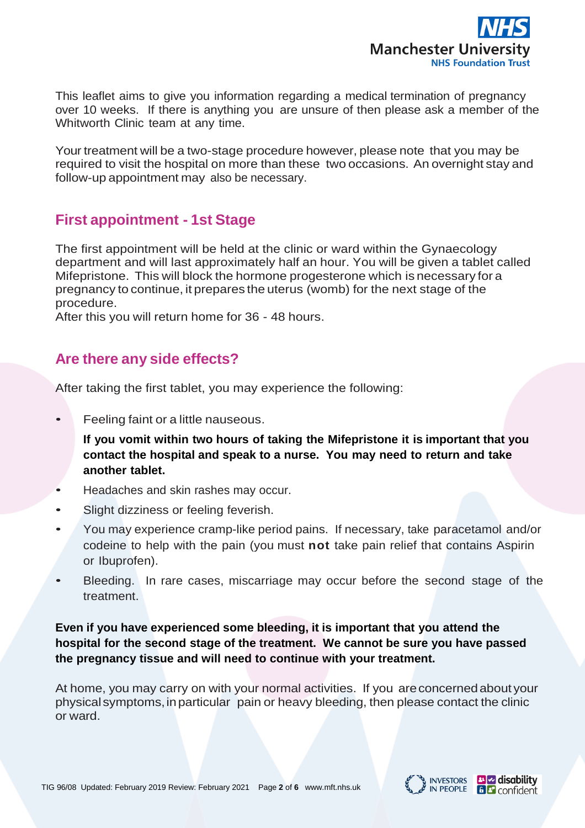

This leaflet aims to give you information regarding a medical termination of pregnancy over 10 weeks. If there is anything you are unsure of then please ask a member of the Whitworth Clinic team at any time.

Your treatment will be a two-stage procedure however, please note that you may be required to visit the hospital on more than these two occasions. An overnight stay and follow-up appointment may also be necessary.

## **First appointment - 1st Stage**

The first appointment will be held at the clinic or ward within the Gynaecology department and will last approximately half an hour. You will be given a tablet called Mifepristone. This will block the hormone progesterone which is necessary for a pregnancy to continue, it prepares the uterus (womb) for the next stage of the procedure.

After this you will return home for 36 - 48 hours.

## **Are there any side effects?**

After taking the first tablet, you may experience the following:

• Feeling faint or a little nauseous.

**If you vomit within two hours of taking the Mifepristone it is important that you contact the hospital and speak to a nurse. You may need to return and take another tablet.**

- Headaches and skin rashes may occur.
- Slight dizziness or feeling feverish.
- You may experience cramp-like period pains. If necessary, take paracetamol and/or codeine to help with the pain (you must **not** take pain relief that contains Aspirin or Ibuprofen).
- Bleeding. In rare cases, miscarriage may occur before the second stage of the treatment.

**Even if you have experienced some bleeding, it is important that you attend the hospital for the second stage of the treatment. We cannot be sure you have passed the pregnancy tissue and will need to continue with your treatment.**

At home, you may carry on with your normal activities. If you areconcernedabout your physical symptoms,inparticular pain or heavy bleeding, then please contact the clinic or ward.

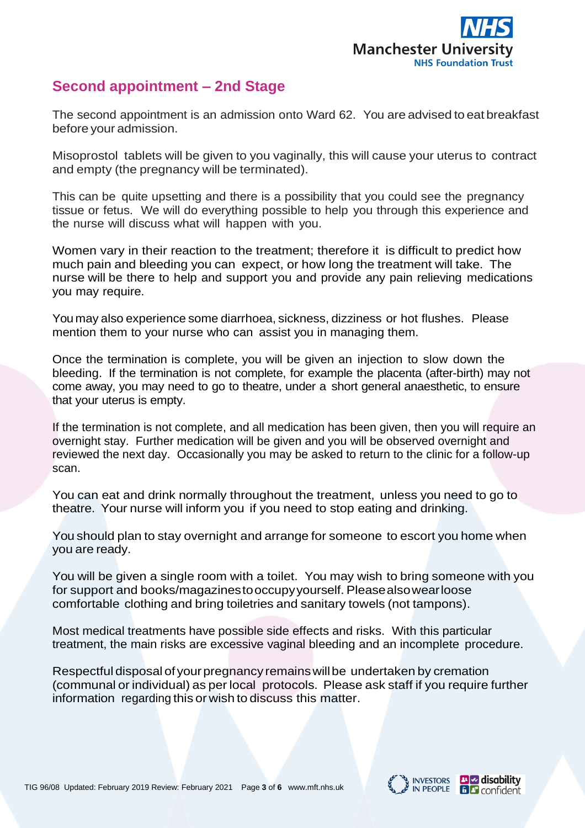

## **Second appointment – 2nd Stage**

The second appointment is an admission onto Ward 62. You are advised to eat breakfast before your admission.

Misoprostol tablets will be given to you vaginally, this will cause your uterus to contract and empty (the pregnancy will be terminated).

This can be quite upsetting and there is a possibility that you could see the pregnancy tissue or fetus. We will do everything possible to help you through this experience and the nurse will discuss what will happen with you.

Women vary in their reaction to the treatment; therefore it is difficult to predict how much pain and bleeding you can expect, or how long the treatment will take. The nurse will be there to help and support you and provide any pain relieving medications you may require.

You may also experience some diarrhoea, sickness, dizziness or hot flushes. Please mention them to your nurse who can assist you in managing them.

Once the termination is complete, you will be given an injection to slow down the bleeding. If the termination is not complete, for example the placenta (after-birth) may not come away, you may need to go to theatre, under a short general anaesthetic, to ensure that your uterus is empty.

If the termination is not complete, and all medication has been given, then you will require an overnight stay. Further medication will be given and you will be observed overnight and reviewed the next day. Occasionally you may be asked to return to the clinic for a follow-up scan.

You can eat and drink normally throughout the treatment, unless you need to go to theatre. Your nurse will inform you if you need to stop eating and drinking.

You should plan to stay overnight and arrange for someone to escort you home when you are ready.

You will be given a single room with a toilet. You may wish to bring someone with you for support and books/magazinestooccupyyourself. Pleasealsowearloose comfortable clothing and bring toiletries and sanitary towels (not tampons).

Most medical treatments have possible side effects and risks. With this particular treatment, the main risks are excessive vaginal bleeding and an incomplete procedure.

Respectful disposal of your pregnancy remains will be undertaken by cremation (communal or individual) as per local protocols. Please ask staff if you require further information regarding this or wish to discuss this matter.



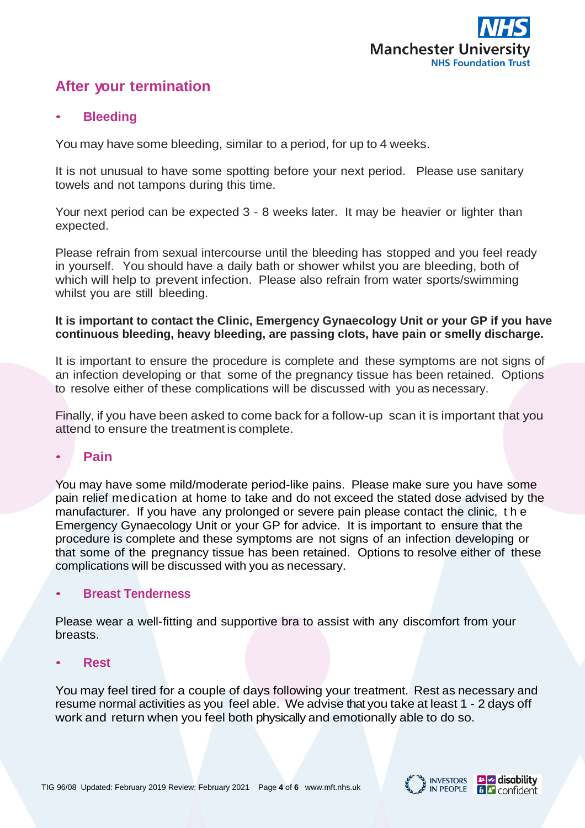

## **After your termination**

#### • **Bleeding**

You may have some bleeding, similar to a period, for up to 4 weeks.

It is not unusual to have some spotting before your next period. Please use sanitary towels and not tampons during this time.

Your next period can be expected 3 - 8 weeks later. It may be heavier or lighter than expected.

Please refrain from sexual intercourse until the bleeding has stopped and you feel ready in yourself. You should have a daily bath or shower whilst you are bleeding, both of which will help to prevent infection. Please also refrain from water sports/swimming whilst you are still bleeding.

#### **It is important to contact the Clinic, Emergency Gynaecology Unit or your GP if you have continuous bleeding, heavy bleeding, are passing clots, have pain or smelly discharge.**

It is important to ensure the procedure is complete and these symptoms are not signs of an infection developing or that some of the pregnancy tissue has been retained. Options to resolve either of these complications will be discussed with you as necessary.

Finally, if you have been asked to come back for a follow-up scan it is important that you attend to ensure the treatment is complete.

## • **Pain**

You may have some mild/moderate period-like pains. Please make sure you have some pain relief medication at home to take and do not exceed the stated dose advised by the manufacturer. If you have any prolonged or severe pain please contact the clinic, t h e Emergency Gynaecology Unit or your GP for advice. It is important to ensure that the procedure is complete and these symptoms are not signs of an infection developing or that some of the pregnancy tissue has been retained. Options to resolve either of these complications will be discussed with you as necessary.

## • **Breast Tenderness**

Please wear a well-fitting and supportive bra to assist with any discomfort from your breasts.

#### • **Rest**

You may feel tired for a couple of days following your treatment. Rest as necessary and resume normal activities as you feel able. We advise that you take at least 1 - 2 days off work and return when you feel both physically and emotionally able to do so.

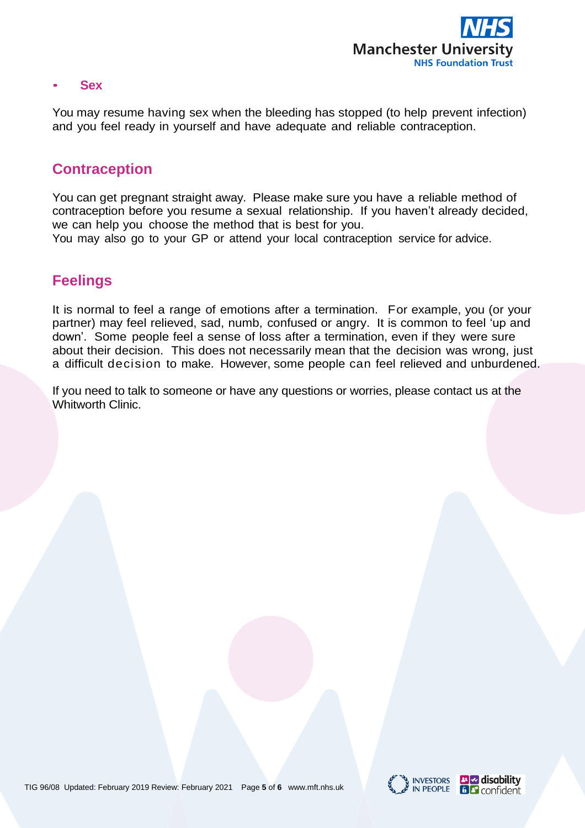

#### • **Sex**

You may resume having sex when the bleeding has stopped (to help prevent infection) and you feel ready in yourself and have adequate and reliable contraception.

## **Contraception**

You can get pregnant straight away. Please make sure you have a reliable method of contraception before you resume a sexual relationship. If you haven't already decided, we can help you choose the method that is best for you.

You may also go to your GP or attend your local contraception service for advice.

## **Feelings**

It is normal to feel a range of emotions after a termination. For example, you (or your partner) may feel relieved, sad, numb, confused or angry. It is common to feel 'up and down'. Some people feel a sense of loss after a termination, even if they were sure about their decision. This does not necessarily mean that the decision was wrong, just a difficult decision to make. However, some people can feel relieved and unburdened.

If you need to talk to someone or have any questions or worries, please contact us at the Whitworth Clinic.